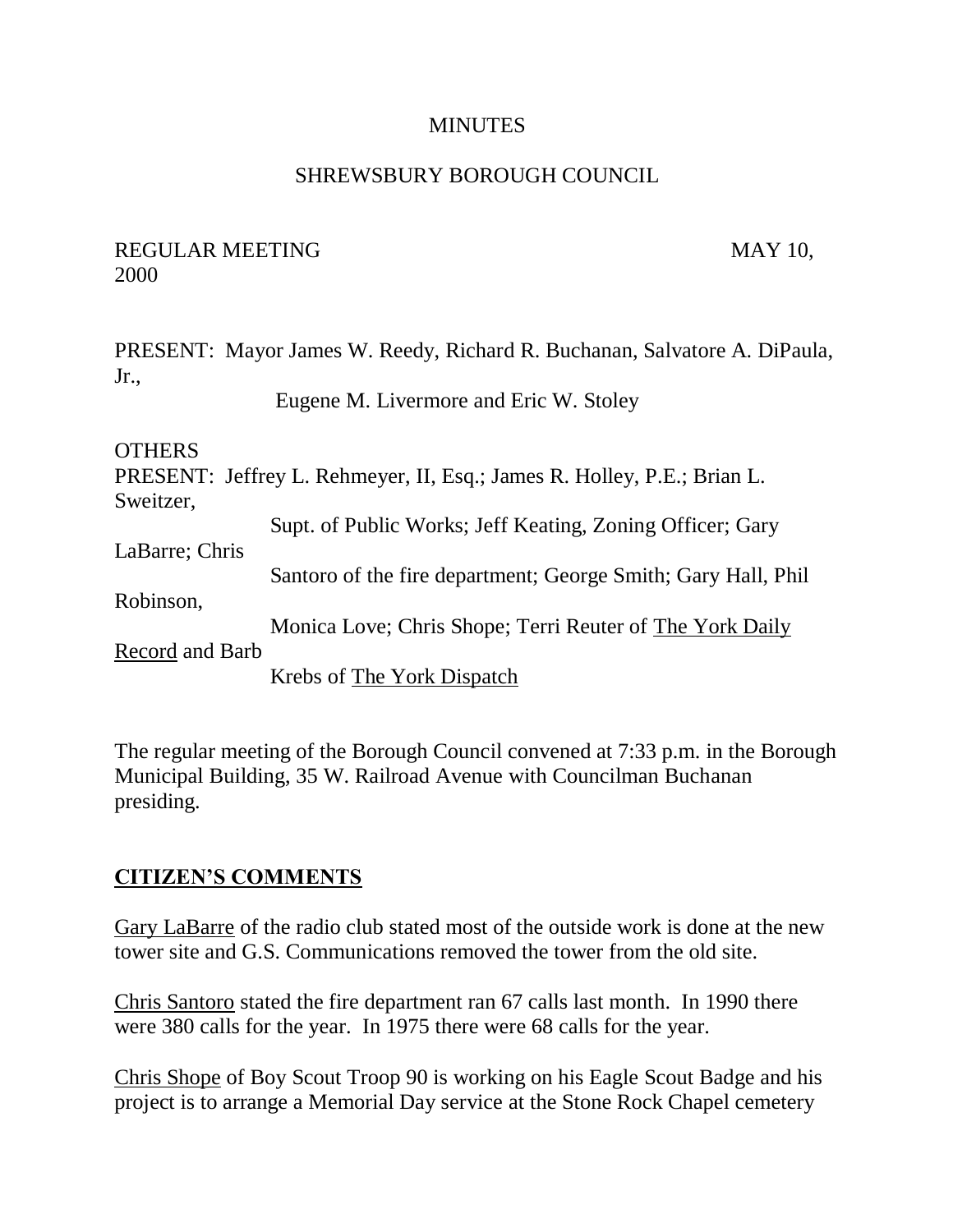#### **MINUTES**

#### SHREWSBURY BOROUGH COUNCIL

#### REGULAR MEETING MAY 10, 2000

PRESENT: Mayor James W. Reedy, Richard R. Buchanan, Salvatore A. DiPaula, Jr., Eugene M. Livermore and Eric W. Stoley

**OTHERS** 

PRESENT: Jeffrey L. Rehmeyer, II, Esq.; James R. Holley, P.E.; Brian L. Sweitzer, Supt. of Public Works; Jeff Keating, Zoning Officer; Gary LaBarre; Chris Santoro of the fire department; George Smith; Gary Hall, Phil Robinson, Monica Love; Chris Shope; Terri Reuter of The York Daily Record and Barb Krebs of The York Dispatch

The regular meeting of the Borough Council convened at 7:33 p.m. in the Borough Municipal Building, 35 W. Railroad Avenue with Councilman Buchanan presiding.

## **CITIZEN'S COMMENTS**

Gary LaBarre of the radio club stated most of the outside work is done at the new tower site and G.S. Communications removed the tower from the old site.

Chris Santoro stated the fire department ran 67 calls last month. In 1990 there were 380 calls for the year. In 1975 there were 68 calls for the year.

Chris Shope of Boy Scout Troop 90 is working on his Eagle Scout Badge and his project is to arrange a Memorial Day service at the Stone Rock Chapel cemetery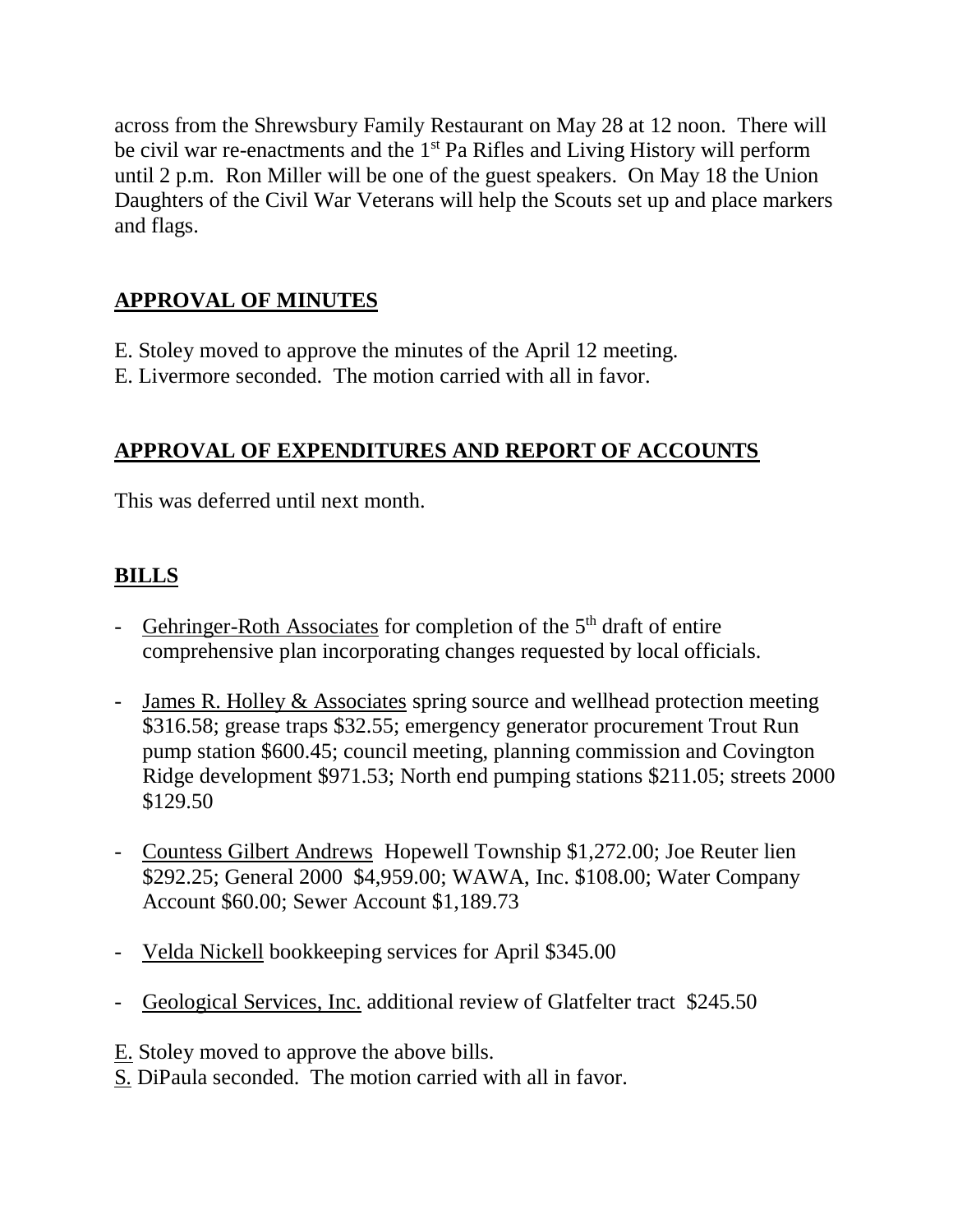across from the Shrewsbury Family Restaurant on May 28 at 12 noon. There will be civil war re-enactments and the 1<sup>st</sup> Pa Rifles and Living History will perform until 2 p.m. Ron Miller will be one of the guest speakers. On May 18 the Union Daughters of the Civil War Veterans will help the Scouts set up and place markers and flags.

# **APPROVAL OF MINUTES**

- E. Stoley moved to approve the minutes of the April 12 meeting.
- E. Livermore seconded. The motion carried with all in favor.

# **APPROVAL OF EXPENDITURES AND REPORT OF ACCOUNTS**

This was deferred until next month.

# **BILLS**

- Gehringer-Roth Associates for completion of the  $5<sup>th</sup>$  draft of entire comprehensive plan incorporating changes requested by local officials.
- James R. Holley & Associates spring source and wellhead protection meeting \$316.58; grease traps \$32.55; emergency generator procurement Trout Run pump station \$600.45; council meeting, planning commission and Covington Ridge development \$971.53; North end pumping stations \$211.05; streets 2000 \$129.50
- Countess Gilbert Andrews Hopewell Township \$1,272.00; Joe Reuter lien \$292.25; General 2000 \$4,959.00; WAWA, Inc. \$108.00; Water Company Account \$60.00; Sewer Account \$1,189.73
- Velda Nickell bookkeeping services for April \$345.00
- Geological Services, Inc. additional review of Glatfelter tract \$245.50
- E. Stoley moved to approve the above bills.
- S. DiPaula seconded. The motion carried with all in favor.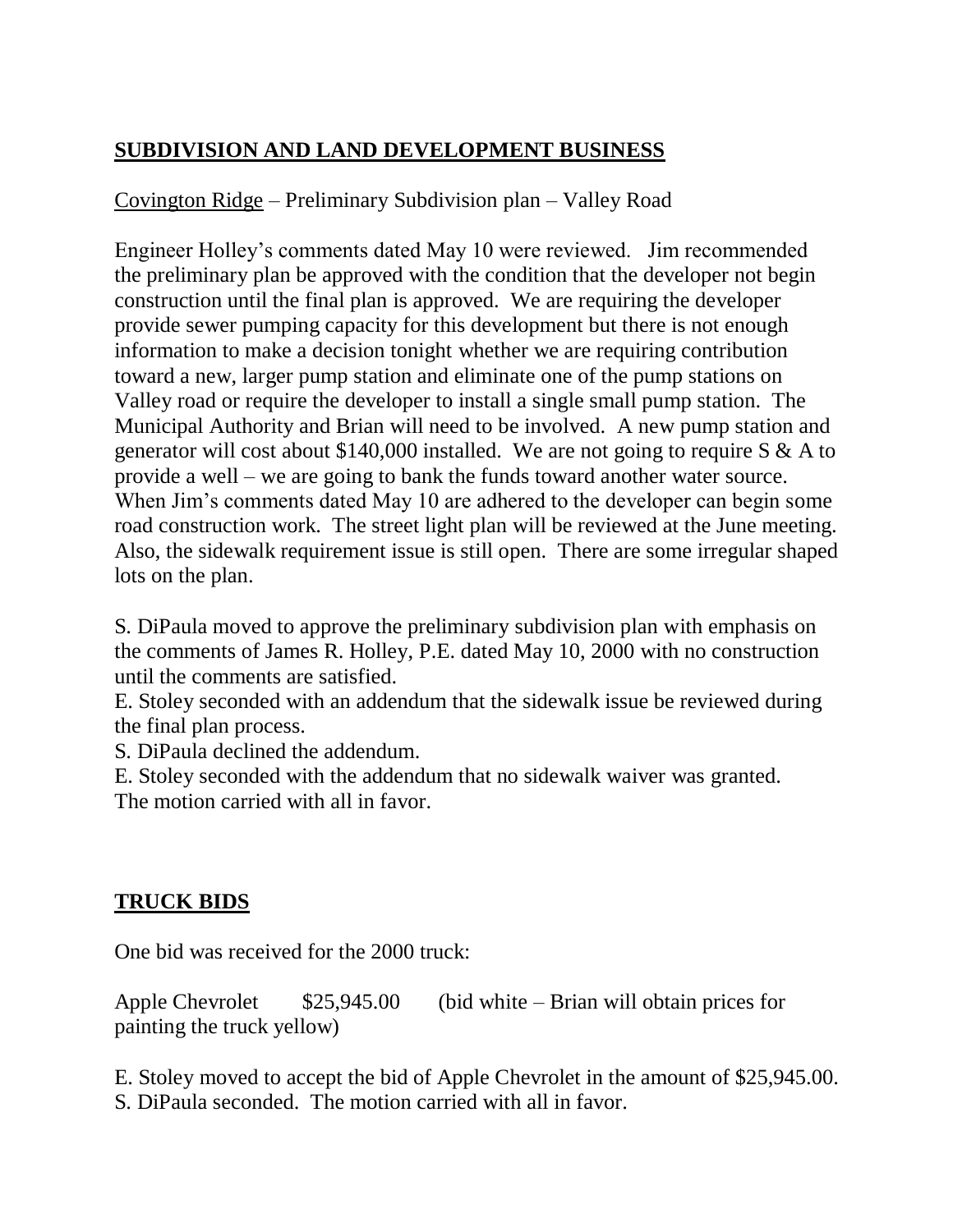# **SUBDIVISION AND LAND DEVELOPMENT BUSINESS**

# Covington Ridge – Preliminary Subdivision plan – Valley Road

Engineer Holley's comments dated May 10 were reviewed. Jim recommended the preliminary plan be approved with the condition that the developer not begin construction until the final plan is approved. We are requiring the developer provide sewer pumping capacity for this development but there is not enough information to make a decision tonight whether we are requiring contribution toward a new, larger pump station and eliminate one of the pump stations on Valley road or require the developer to install a single small pump station. The Municipal Authority and Brian will need to be involved. A new pump station and generator will cost about \$140,000 installed. We are not going to require S & A to provide a well – we are going to bank the funds toward another water source. When Jim's comments dated May 10 are adhered to the developer can begin some road construction work. The street light plan will be reviewed at the June meeting. Also, the sidewalk requirement issue is still open. There are some irregular shaped lots on the plan.

S. DiPaula moved to approve the preliminary subdivision plan with emphasis on the comments of James R. Holley, P.E. dated May 10, 2000 with no construction until the comments are satisfied.

E. Stoley seconded with an addendum that the sidewalk issue be reviewed during the final plan process.

S. DiPaula declined the addendum.

E. Stoley seconded with the addendum that no sidewalk waiver was granted. The motion carried with all in favor.

# **TRUCK BIDS**

One bid was received for the 2000 truck:

Apple Chevrolet  $$25,945.00$  (bid white – Brian will obtain prices for painting the truck yellow)

E. Stoley moved to accept the bid of Apple Chevrolet in the amount of \$25,945.00. S. DiPaula seconded. The motion carried with all in favor.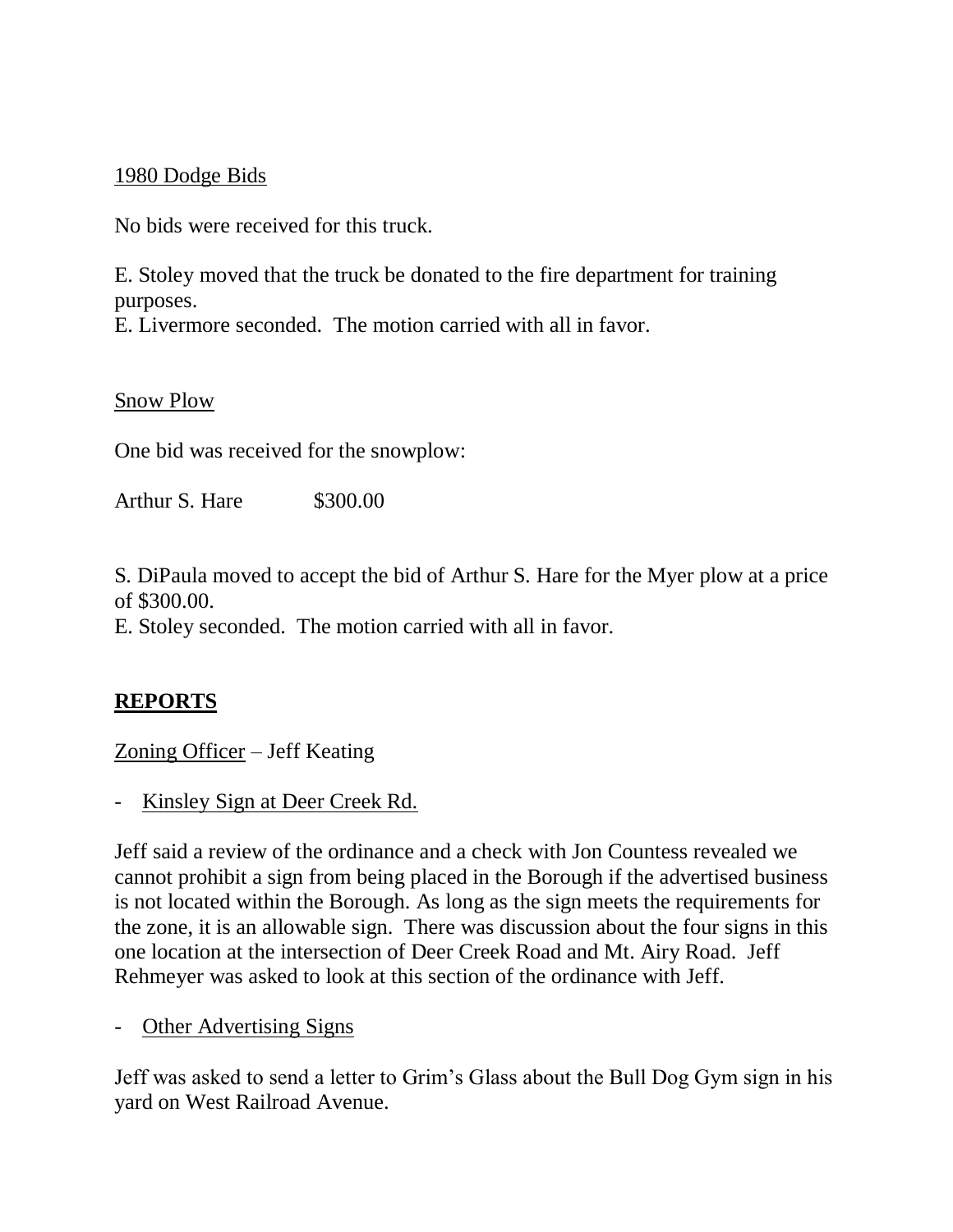#### 1980 Dodge Bids

No bids were received for this truck.

E. Stoley moved that the truck be donated to the fire department for training purposes.

E. Livermore seconded. The motion carried with all in favor.

Snow Plow

One bid was received for the snowplow:

Arthur S. Hare \$300.00

S. DiPaula moved to accept the bid of Arthur S. Hare for the Myer plow at a price of \$300.00.

E. Stoley seconded. The motion carried with all in favor.

## **REPORTS**

Zoning Officer – Jeff Keating

Kinsley Sign at Deer Creek Rd.

Jeff said a review of the ordinance and a check with Jon Countess revealed we cannot prohibit a sign from being placed in the Borough if the advertised business is not located within the Borough. As long as the sign meets the requirements for the zone, it is an allowable sign. There was discussion about the four signs in this one location at the intersection of Deer Creek Road and Mt. Airy Road. Jeff Rehmeyer was asked to look at this section of the ordinance with Jeff.

- Other Advertising Signs

Jeff was asked to send a letter to Grim's Glass about the Bull Dog Gym sign in his yard on West Railroad Avenue.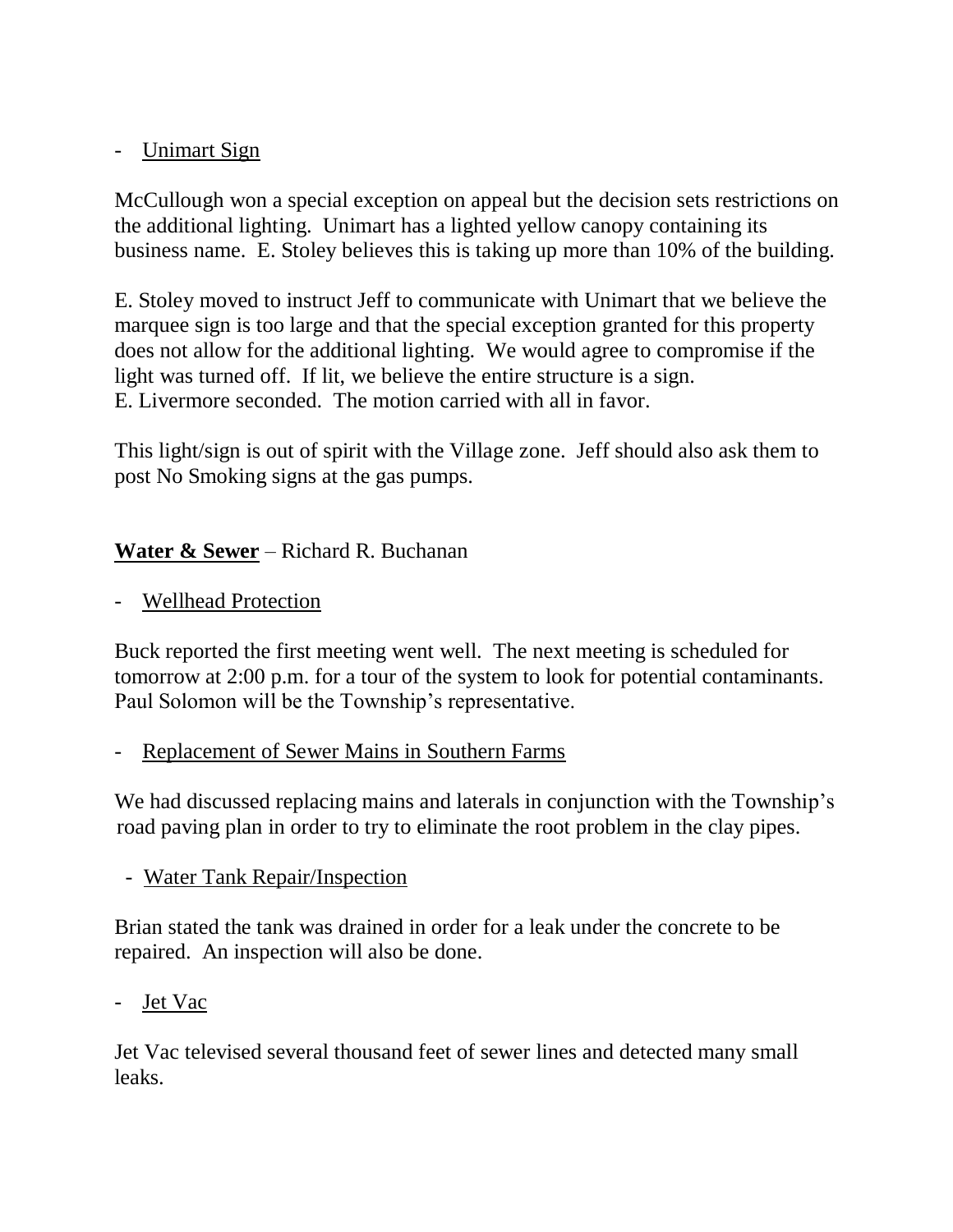## - Unimart Sign

McCullough won a special exception on appeal but the decision sets restrictions on the additional lighting. Unimart has a lighted yellow canopy containing its business name. E. Stoley believes this is taking up more than 10% of the building.

E. Stoley moved to instruct Jeff to communicate with Unimart that we believe the marquee sign is too large and that the special exception granted for this property does not allow for the additional lighting. We would agree to compromise if the light was turned off. If lit, we believe the entire structure is a sign. E. Livermore seconded. The motion carried with all in favor.

This light/sign is out of spirit with the Village zone. Jeff should also ask them to post No Smoking signs at the gas pumps.

# **Water & Sewer** – Richard R. Buchanan

- Wellhead Protection

Buck reported the first meeting went well. The next meeting is scheduled for tomorrow at 2:00 p.m. for a tour of the system to look for potential contaminants. Paul Solomon will be the Township's representative.

#### - Replacement of Sewer Mains in Southern Farms

We had discussed replacing mains and laterals in conjunction with the Township's road paving plan in order to try to eliminate the root problem in the clay pipes.

#### - Water Tank Repair/Inspection

Brian stated the tank was drained in order for a leak under the concrete to be repaired. An inspection will also be done.

#### - Jet Vac

Jet Vac televised several thousand feet of sewer lines and detected many small leaks.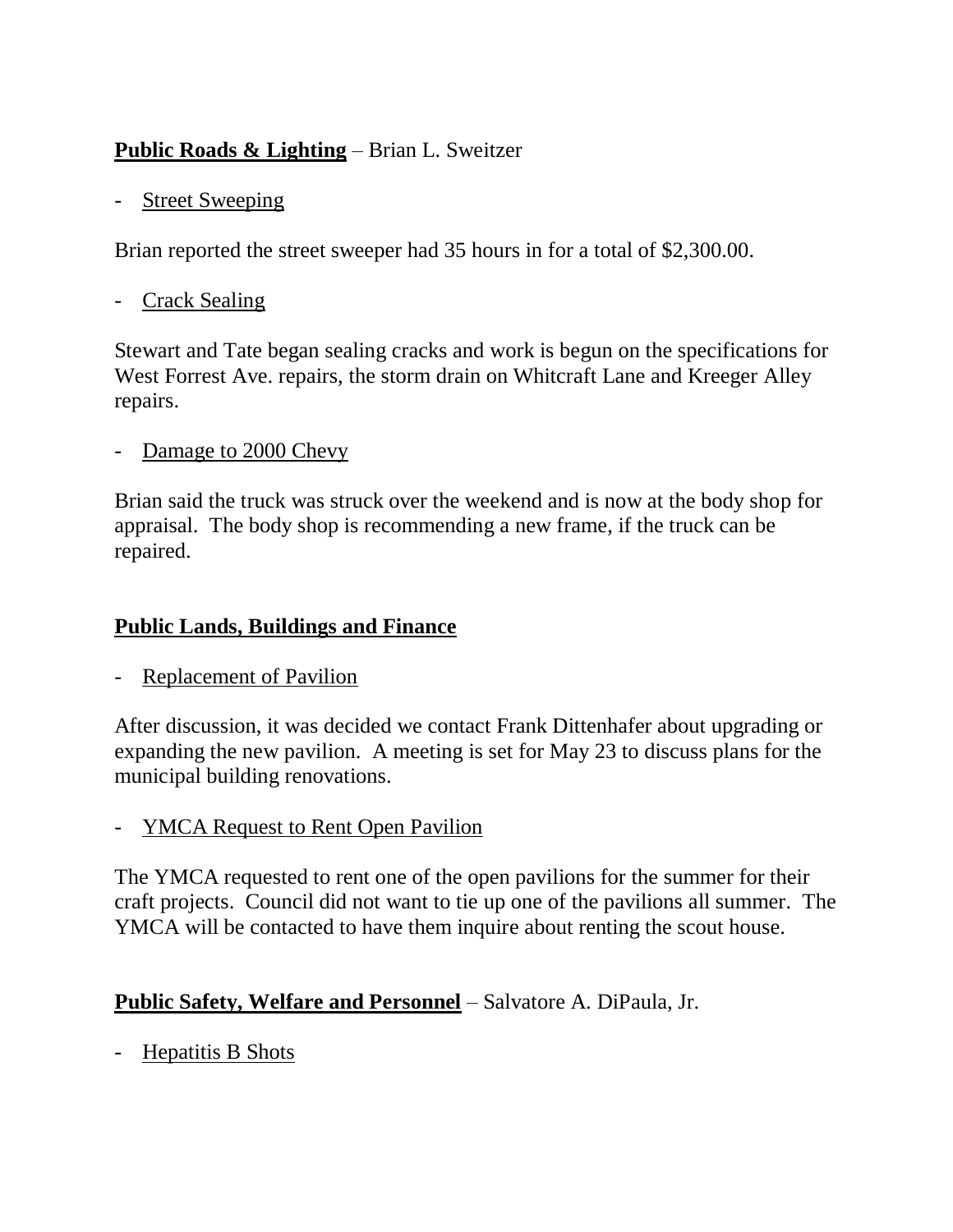# **Public Roads & Lighting** – Brian L. Sweitzer

## - Street Sweeping

Brian reported the street sweeper had 35 hours in for a total of \$2,300.00.

## - Crack Sealing

Stewart and Tate began sealing cracks and work is begun on the specifications for West Forrest Ave. repairs, the storm drain on Whitcraft Lane and Kreeger Alley repairs.

Damage to 2000 Chevy

Brian said the truck was struck over the weekend and is now at the body shop for appraisal. The body shop is recommending a new frame, if the truck can be repaired.

# **Public Lands, Buildings and Finance**

Replacement of Pavilion

After discussion, it was decided we contact Frank Dittenhafer about upgrading or expanding the new pavilion. A meeting is set for May 23 to discuss plans for the municipal building renovations.

- **YMCA Request to Rent Open Pavilion** 

The YMCA requested to rent one of the open pavilions for the summer for their craft projects. Council did not want to tie up one of the pavilions all summer. The YMCA will be contacted to have them inquire about renting the scout house.

## **Public Safety, Welfare and Personnel** – Salvatore A. DiPaula, Jr.

- Hepatitis B Shots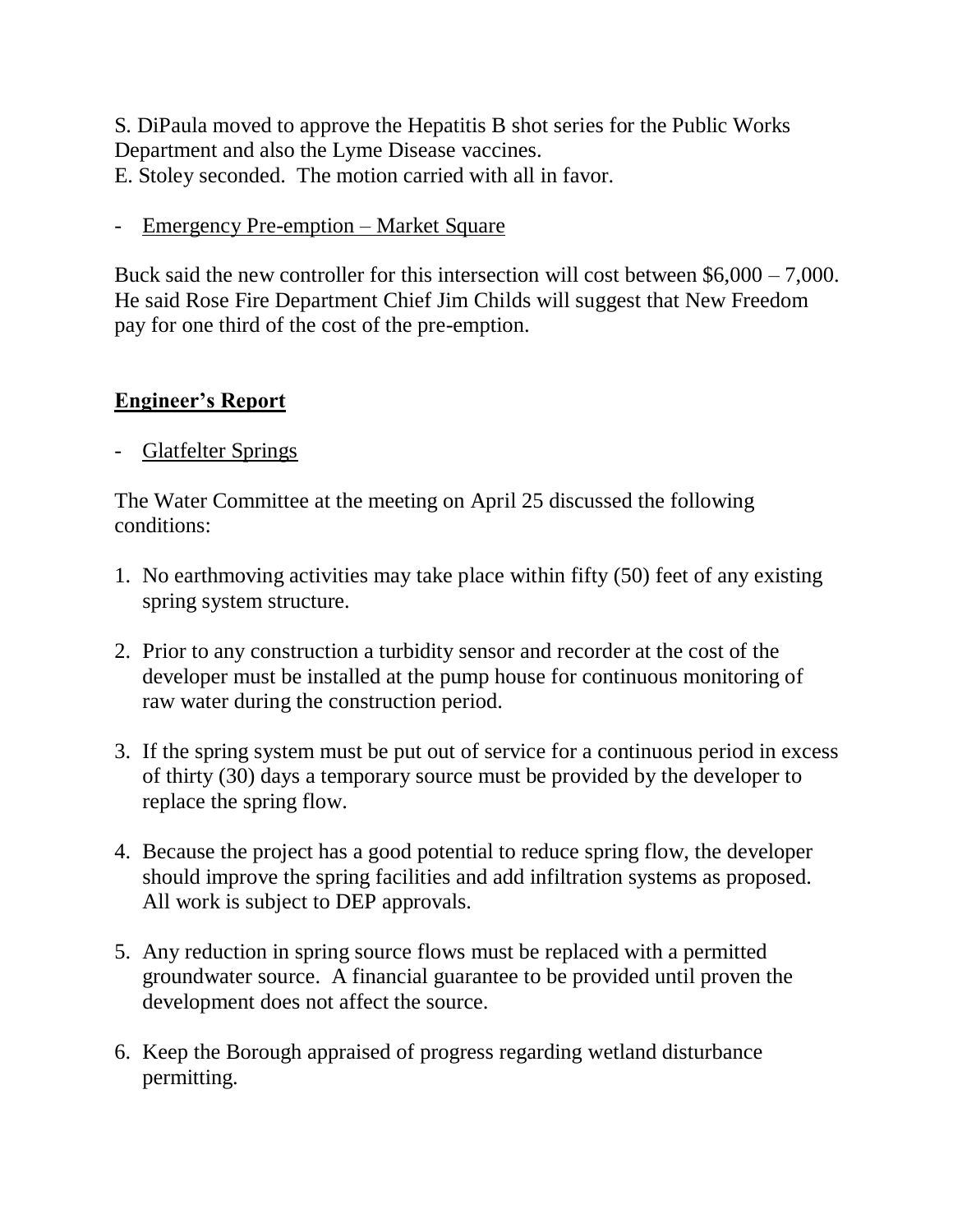S. DiPaula moved to approve the Hepatitis B shot series for the Public Works Department and also the Lyme Disease vaccines. E. Stoley seconded. The motion carried with all in favor.

- Emergency Pre-emption – Market Square

Buck said the new controller for this intersection will cost between \$6,000 – 7,000. He said Rose Fire Department Chief Jim Childs will suggest that New Freedom pay for one third of the cost of the pre-emption.

# **Engineer's Report**

- Glatfelter Springs

The Water Committee at the meeting on April 25 discussed the following conditions:

- 1. No earthmoving activities may take place within fifty (50) feet of any existing spring system structure.
- 2. Prior to any construction a turbidity sensor and recorder at the cost of the developer must be installed at the pump house for continuous monitoring of raw water during the construction period.
- 3. If the spring system must be put out of service for a continuous period in excess of thirty (30) days a temporary source must be provided by the developer to replace the spring flow.
- 4. Because the project has a good potential to reduce spring flow, the developer should improve the spring facilities and add infiltration systems as proposed. All work is subject to DEP approvals.
- 5. Any reduction in spring source flows must be replaced with a permitted groundwater source. A financial guarantee to be provided until proven the development does not affect the source.
- 6. Keep the Borough appraised of progress regarding wetland disturbance permitting.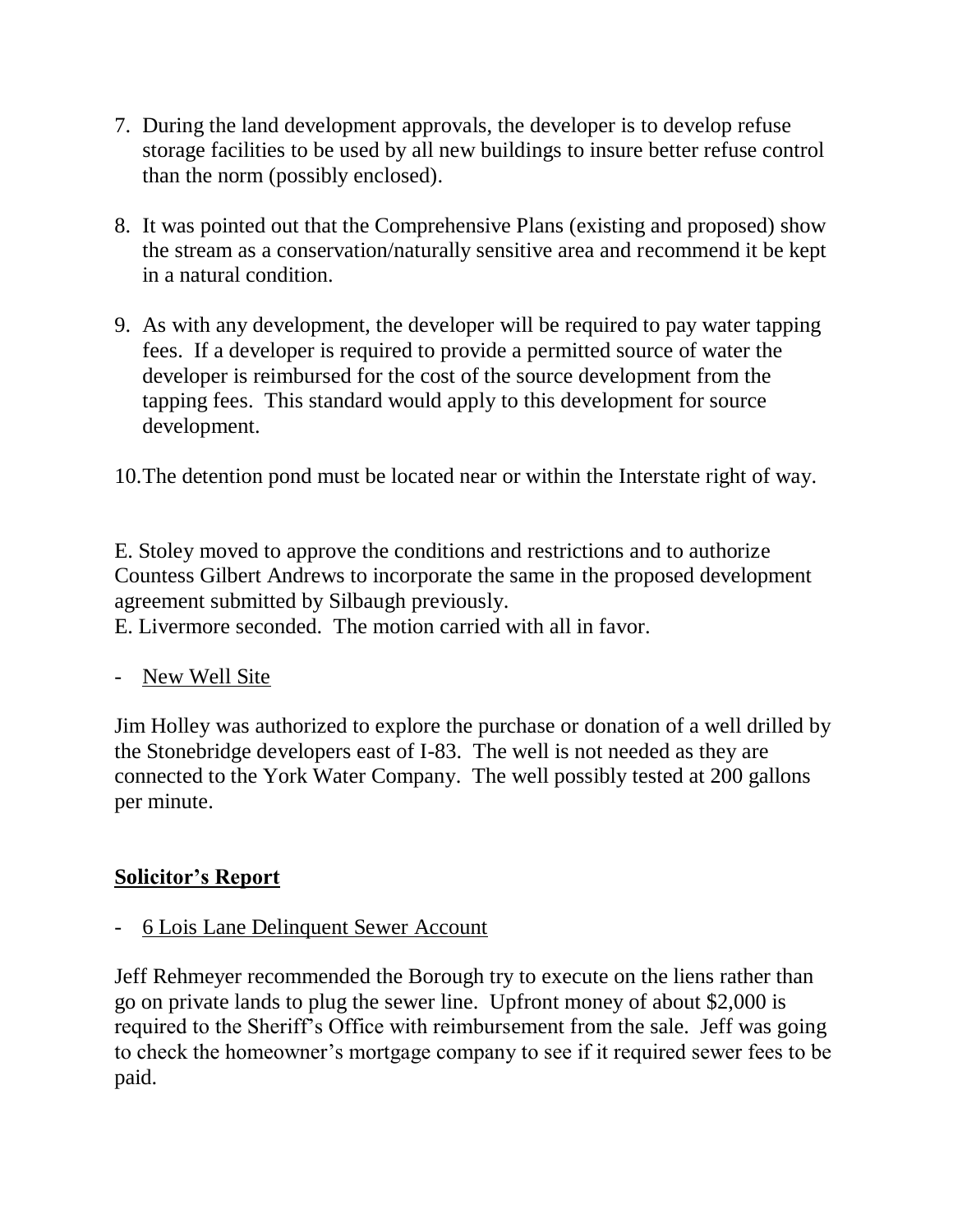- 7. During the land development approvals, the developer is to develop refuse storage facilities to be used by all new buildings to insure better refuse control than the norm (possibly enclosed).
- 8. It was pointed out that the Comprehensive Plans (existing and proposed) show the stream as a conservation/naturally sensitive area and recommend it be kept in a natural condition.
- 9. As with any development, the developer will be required to pay water tapping fees. If a developer is required to provide a permitted source of water the developer is reimbursed for the cost of the source development from the tapping fees. This standard would apply to this development for source development.
- 10.The detention pond must be located near or within the Interstate right of way.

E. Stoley moved to approve the conditions and restrictions and to authorize Countess Gilbert Andrews to incorporate the same in the proposed development agreement submitted by Silbaugh previously.

E. Livermore seconded. The motion carried with all in favor.

- New Well Site

Jim Holley was authorized to explore the purchase or donation of a well drilled by the Stonebridge developers east of I-83. The well is not needed as they are connected to the York Water Company. The well possibly tested at 200 gallons per minute.

#### **Solicitor's Report**

- 6 Lois Lane Delinquent Sewer Account

Jeff Rehmeyer recommended the Borough try to execute on the liens rather than go on private lands to plug the sewer line. Upfront money of about \$2,000 is required to the Sheriff's Office with reimbursement from the sale. Jeff was going to check the homeowner's mortgage company to see if it required sewer fees to be paid.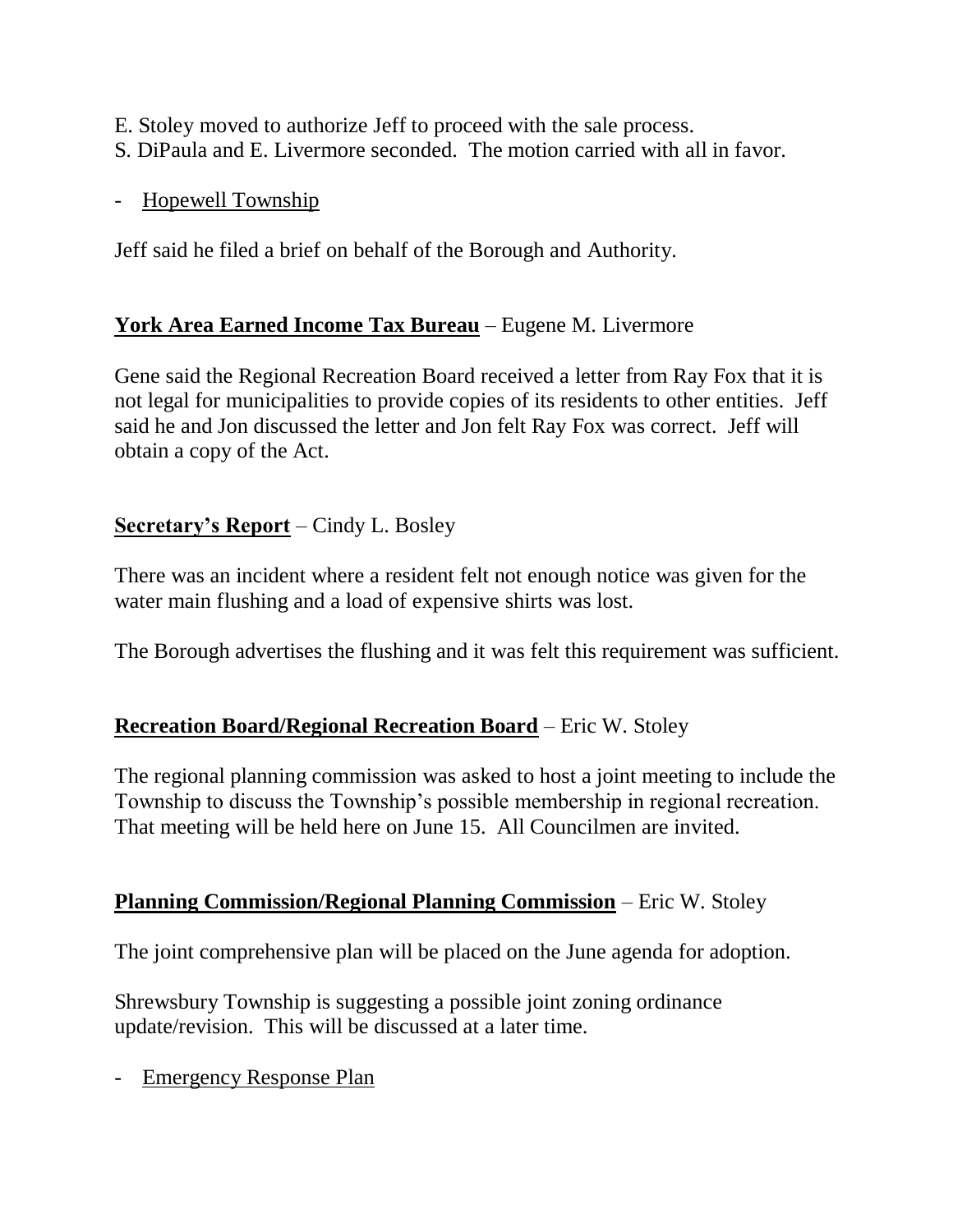E. Stoley moved to authorize Jeff to proceed with the sale process.

- S. DiPaula and E. Livermore seconded. The motion carried with all in favor.
- Hopewell Township

Jeff said he filed a brief on behalf of the Borough and Authority.

# **York Area Earned Income Tax Bureau** – Eugene M. Livermore

Gene said the Regional Recreation Board received a letter from Ray Fox that it is not legal for municipalities to provide copies of its residents to other entities. Jeff said he and Jon discussed the letter and Jon felt Ray Fox was correct. Jeff will obtain a copy of the Act.

# **Secretary's Report** – Cindy L. Bosley

There was an incident where a resident felt not enough notice was given for the water main flushing and a load of expensive shirts was lost.

The Borough advertises the flushing and it was felt this requirement was sufficient.

# **Recreation Board/Regional Recreation Board** – Eric W. Stoley

The regional planning commission was asked to host a joint meeting to include the Township to discuss the Township's possible membership in regional recreation. That meeting will be held here on June 15. All Councilmen are invited.

# **Planning Commission/Regional Planning Commission** – Eric W. Stoley

The joint comprehensive plan will be placed on the June agenda for adoption.

Shrewsbury Township is suggesting a possible joint zoning ordinance update/revision. This will be discussed at a later time.

- Emergency Response Plan